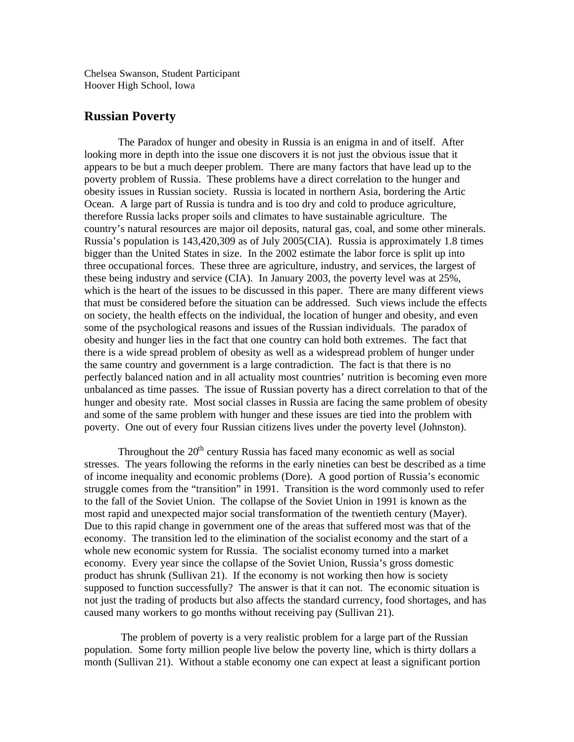Chelsea Swanson, Student Participant Hoover High School, Iowa

## **Russian Poverty**

The Paradox of hunger and obesity in Russia is an enigma in and of itself. After looking more in depth into the issue one discovers it is not just the obvious issue that it appears to be but a much deeper problem. There are many factors that have lead up to the poverty problem of Russia. These problems have a direct correlation to the hunger and obesity issues in Russian society. Russia is located in northern Asia, bordering the Artic Ocean. A large part of Russia is tundra and is too dry and cold to produce agriculture, therefore Russia lacks proper soils and climates to have sustainable agriculture. The country's natural resources are major oil deposits, natural gas, coal, and some other minerals. Russia's population is 143,420,309 as of July 2005(CIA). Russia is approximately 1.8 times bigger than the United States in size. In the 2002 estimate the labor force is split up into three occupational forces. These three are agriculture, industry, and services, the largest of these being industry and service (CIA). In January 2003, the poverty level was at 25%, which is the heart of the issues to be discussed in this paper. There are many different views that must be considered before the situation can be addressed. Such views include the effects on society, the health effects on the individual, the location of hunger and obesity, and even some of the psychological reasons and issues of the Russian individuals. The paradox of obesity and hunger lies in the fact that one country can hold both extremes. The fact that there is a wide spread problem of obesity as well as a widespread problem of hunger under the same country and government is a large contradiction. The fact is that there is no perfectly balanced nation and in all actuality most countries' nutrition is becoming even more unbalanced as time passes. The issue of Russian poverty has a direct correlation to that of the hunger and obesity rate. Most social classes in Russia are facing the same problem of obesity and some of the same problem with hunger and these issues are tied into the problem with poverty. One out of every four Russian citizens lives under the poverty level (Johnston).

Throughout the  $20<sup>th</sup>$  century Russia has faced many economic as well as social stresses. The years following the reforms in the early nineties can best be described as a time of income inequality and economic problems (Dore). A good portion of Russia's economic struggle comes from the "transition" in 1991. Transition is the word commonly used to refer to the fall of the Soviet Union. The collapse of the Soviet Union in 1991 is known as the most rapid and unexpected major social transformation of the twentieth century (Mayer). Due to this rapid change in government one of the areas that suffered most was that of the economy. The transition led to the elimination of the socialist economy and the start of a whole new economic system for Russia. The socialist economy turned into a market economy. Every year since the collapse of the Soviet Union, Russia's gross domestic product has shrunk (Sullivan 21). If the economy is not working then how is society supposed to function successfully? The answer is that it can not. The economic situation is not just the trading of products but also affects the standard currency, food shortages, and has caused many workers to go months without receiving pay (Sullivan 21).

 The problem of poverty is a very realistic problem for a large part of the Russian population. Some forty million people live below the poverty line, which is thirty dollars a month (Sullivan 21). Without a stable economy one can expect at least a significant portion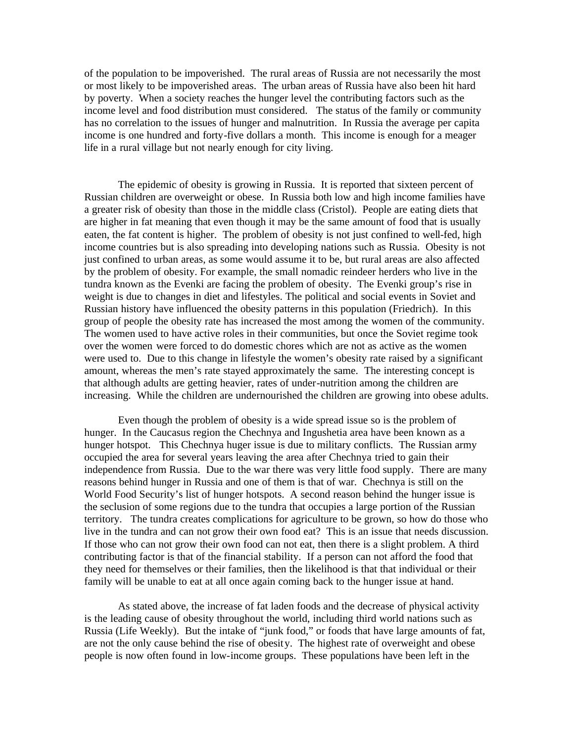of the population to be impoverished. The rural areas of Russia are not necessarily the most or most likely to be impoverished areas. The urban areas of Russia have also been hit hard by poverty. When a society reaches the hunger level the contributing factors such as the income level and food distribution must considered. The status of the family or community has no correlation to the issues of hunger and malnutrition. In Russia the average per capita income is one hundred and forty-five dollars a month. This income is enough for a meager life in a rural village but not nearly enough for city living.

The epidemic of obesity is growing in Russia. It is reported that sixteen percent of Russian children are overweight or obese. In Russia both low and high income families have a greater risk of obesity than those in the middle class (Cristol). People are eating diets that are higher in fat meaning that even though it may be the same amount of food that is usually eaten, the fat content is higher. The problem of obesity is not just confined to well-fed, high income countries but is also spreading into developing nations such as Russia. Obesity is not just confined to urban areas, as some would assume it to be, but rural areas are also affected by the problem of obesity. For example, the small nomadic reindeer herders who live in the tundra known as the Evenki are facing the problem of obesity. The Evenki group's rise in weight is due to changes in diet and lifestyles. The political and social events in Soviet and Russian history have influenced the obesity patterns in this population (Friedrich). In this group of people the obesity rate has increased the most among the women of the community. The women used to have active roles in their communities, but once the Soviet regime took over the women were forced to do domestic chores which are not as active as the women were used to. Due to this change in lifestyle the women's obesity rate raised by a significant amount, whereas the men's rate stayed approximately the same. The interesting concept is that although adults are getting heavier, rates of under-nutrition among the children are increasing. While the children are undernourished the children are growing into obese adults.

Even though the problem of obesity is a wide spread issue so is the problem of hunger. In the Caucasus region the Chechnya and Ingushetia area have been known as a hunger hotspot. This Chechnya huger issue is due to military conflicts. The Russian army occupied the area for several years leaving the area after Chechnya tried to gain their independence from Russia. Due to the war there was very little food supply. There are many reasons behind hunger in Russia and one of them is that of war. Chechnya is still on the World Food Security's list of hunger hotspots. A second reason behind the hunger issue is the seclusion of some regions due to the tundra that occupies a large portion of the Russian territory. The tundra creates complications for agriculture to be grown, so how do those who live in the tundra and can not grow their own food eat? This is an issue that needs discussion. If those who can not grow their own food can not eat, then there is a slight problem. A third contributing factor is that of the financial stability. If a person can not afford the food that they need for themselves or their families, then the likelihood is that that individual or their family will be unable to eat at all once again coming back to the hunger issue at hand.

As stated above, the increase of fat laden foods and the decrease of physical activity is the leading cause of obesity throughout the world, including third world nations such as Russia (Life Weekly). But the intake of "junk food," or foods that have large amounts of fat, are not the only cause behind the rise of obesity. The highest rate of overweight and obese people is now often found in low-income groups. These populations have been left in the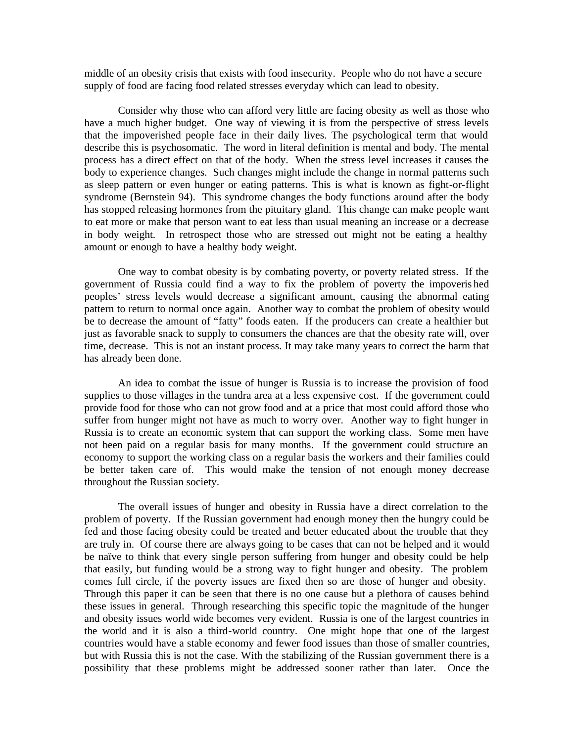middle of an obesity crisis that exists with food insecurity. People who do not have a secure supply of food are facing food related stresses everyday which can lead to obesity.

Consider why those who can afford very little are facing obesity as well as those who have a much higher budget. One way of viewing it is from the perspective of stress levels that the impoverished people face in their daily lives. The psychological term that would describe this is psychosomatic. The word in literal definition is mental and body. The mental process has a direct effect on that of the body. When the stress level increases it causes the body to experience changes. Such changes might include the change in normal patterns such as sleep pattern or even hunger or eating patterns. This is what is known as fight-or-flight syndrome (Bernstein 94). This syndrome changes the body functions around after the body has stopped releasing hormones from the pituitary gland. This change can make people want to eat more or make that person want to eat less than usual meaning an increase or a decrease in body weight. In retrospect those who are stressed out might not be eating a healthy amount or enough to have a healthy body weight.

One way to combat obesity is by combating poverty, or poverty related stress. If the government of Russia could find a way to fix the problem of poverty the impoveris hed peoples' stress levels would decrease a significant amount, causing the abnormal eating pattern to return to normal once again. Another way to combat the problem of obesity would be to decrease the amount of "fatty" foods eaten. If the producers can create a healthier but just as favorable snack to supply to consumers the chances are that the obesity rate will, over time, decrease. This is not an instant process. It may take many years to correct the harm that has already been done.

An idea to combat the issue of hunger is Russia is to increase the provision of food supplies to those villages in the tundra area at a less expensive cost. If the government could provide food for those who can not grow food and at a price that most could afford those who suffer from hunger might not have as much to worry over. Another way to fight hunger in Russia is to create an economic system that can support the working class. Some men have not been paid on a regular basis for many months. If the government could structure an economy to support the working class on a regular basis the workers and their families could be better taken care of. This would make the tension of not enough money decrease throughout the Russian society.

The overall issues of hunger and obesity in Russia have a direct correlation to the problem of poverty. If the Russian government had enough money then the hungry could be fed and those facing obesity could be treated and better educated about the trouble that they are truly in. Of course there are always going to be cases that can not be helped and it would be naïve to think that every single person suffering from hunger and obesity could be help that easily, but funding would be a strong way to fight hunger and obesity. The problem comes full circle, if the poverty issues are fixed then so are those of hunger and obesity. Through this paper it can be seen that there is no one cause but a plethora of causes behind these issues in general. Through researching this specific topic the magnitude of the hunger and obesity issues world wide becomes very evident. Russia is one of the largest countries in the world and it is also a third-world country. One might hope that one of the largest countries would have a stable economy and fewer food issues than those of smaller countries, but with Russia this is not the case. With the stabilizing of the Russian government there is a possibility that these problems might be addressed sooner rather than later. Once the